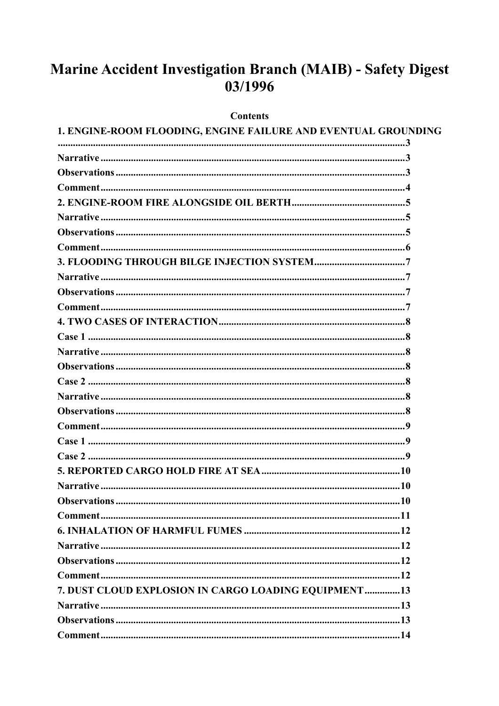# Marine Accident Investigation Branch (MAIB) - Safety Digest 03/1996

#### **Contents**

| 1. ENGINE-ROOM FLOODING, ENGINE FAILURE AND EVENTUAL GROUNDING |  |
|----------------------------------------------------------------|--|
|                                                                |  |
|                                                                |  |
|                                                                |  |
|                                                                |  |
|                                                                |  |
|                                                                |  |
|                                                                |  |
|                                                                |  |
|                                                                |  |
|                                                                |  |
|                                                                |  |
|                                                                |  |
|                                                                |  |
|                                                                |  |
|                                                                |  |
|                                                                |  |
|                                                                |  |
|                                                                |  |
|                                                                |  |
|                                                                |  |
|                                                                |  |
|                                                                |  |
|                                                                |  |
|                                                                |  |
|                                                                |  |
|                                                                |  |
|                                                                |  |
|                                                                |  |
|                                                                |  |
| 7. DUST CLOUD EXPLOSION IN CARGO LOADING EQUIPMENT13           |  |
|                                                                |  |
|                                                                |  |
|                                                                |  |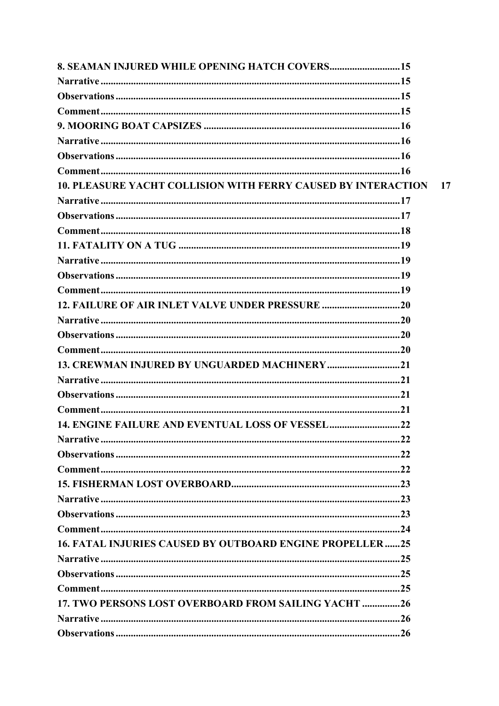| <b>8. SEAMAN INJURED WHILE OPENING HATCH COVERS 15</b>               |    |
|----------------------------------------------------------------------|----|
|                                                                      |    |
|                                                                      |    |
|                                                                      |    |
|                                                                      |    |
|                                                                      |    |
|                                                                      |    |
|                                                                      |    |
| <b>10. PLEASURE YACHT COLLISION WITH FERRY CAUSED BY INTERACTION</b> | 17 |
|                                                                      |    |
|                                                                      |    |
|                                                                      |    |
|                                                                      |    |
|                                                                      |    |
|                                                                      |    |
|                                                                      |    |
| 12. FAILURE OF AIR INLET VALVE UNDER PRESSURE 20                     |    |
|                                                                      |    |
|                                                                      |    |
|                                                                      |    |
| 13. CREWMAN INJURED BY UNGUARDED MACHINERY21                         |    |
|                                                                      |    |
|                                                                      |    |
|                                                                      |    |
| 14. ENGINE FAILURE AND EVENTUAL LOSS OF VESSEL22                     |    |
|                                                                      |    |
|                                                                      |    |
|                                                                      |    |
|                                                                      |    |
|                                                                      |    |
|                                                                      |    |
|                                                                      |    |
| <b>16. FATAL INJURIES CAUSED BY OUTBOARD ENGINE PROPELLER25</b>      |    |
|                                                                      |    |
|                                                                      |    |
|                                                                      |    |
| 17. TWO PERSONS LOST OVERBOARD FROM SAILING YACHT 26                 |    |
|                                                                      |    |
|                                                                      |    |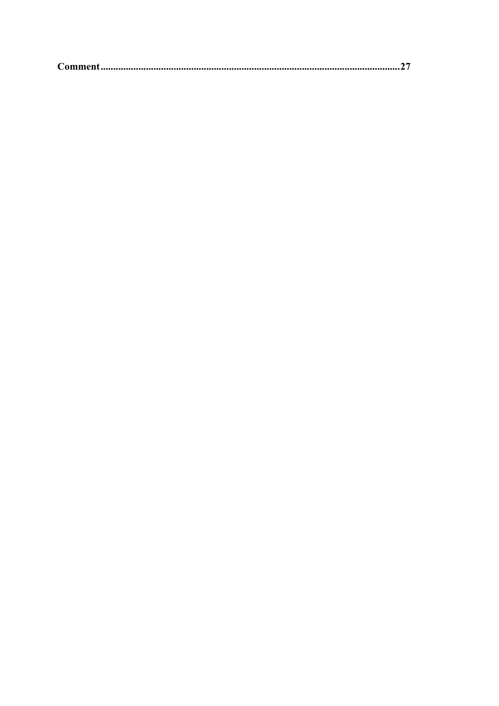|--|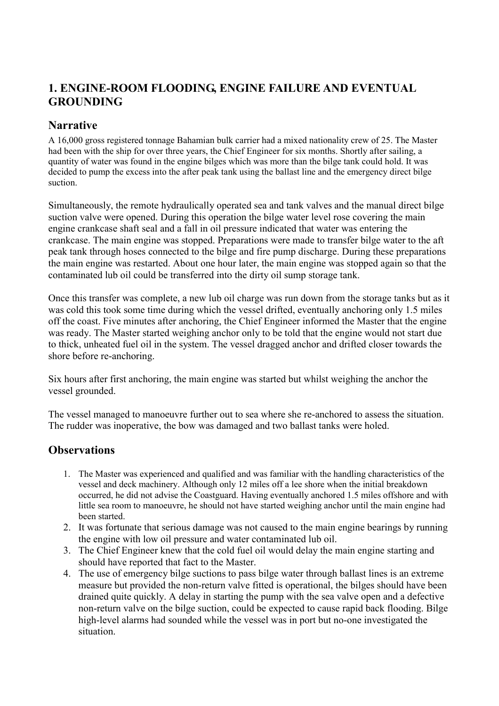## <span id="page-3-0"></span>**1. ENGINE-ROOM FLOODING, ENGINE FAILURE AND EVENTUAL GROUNDING**

### **Narrative**

A 16,000 gross registered tonnage Bahamian bulk carrier had a mixed nationality crew of 25. The Master had been with the ship for over three years, the Chief Engineer for six months. Shortly after sailing, a quantity of water was found in the engine bilges which was more than the bilge tank could hold. It was decided to pump the excess into the after peak tank using the ballast line and the emergency direct bilge suction.

Simultaneously, the remote hydraulically operated sea and tank valves and the manual direct bilge suction valve were opened. During this operation the bilge water level rose covering the main engine crankcase shaft seal and a fall in oil pressure indicated that water was entering the crankcase. The main engine was stopped. Preparations were made to transfer bilge water to the aft peak tank through hoses connected to the bilge and fire pump discharge. During these preparations the main engine was restarted. About one hour later, the main engine was stopped again so that the contaminated lub oil could be transferred into the dirty oil sump storage tank.

Once this transfer was complete, a new lub oil charge was run down from the storage tanks but as it was cold this took some time during which the vessel drifted, eventually anchoring only 1.5 miles off the coast. Five minutes after anchoring, the Chief Engineer informed the Master that the engine was ready. The Master started weighing anchor only to be told that the engine would not start due to thick, unheated fuel oil in the system. The vessel dragged anchor and drifted closer towards the shore before re-anchoring.

Six hours after first anchoring, the main engine was started but whilst weighing the anchor the vessel grounded.

The vessel managed to manoeuvre further out to sea where she re-anchored to assess the situation. The rudder was inoperative, the bow was damaged and two ballast tanks were holed.

- 1. The Master was experienced and qualified and was familiar with the handling characteristics of the vessel and deck machinery. Although only 12 miles off a lee shore when the initial breakdown occurred, he did not advise the Coastguard. Having eventually anchored 1.5 miles offshore and with little sea room to manoeuvre, he should not have started weighing anchor until the main engine had been started.
- 2. It was fortunate that serious damage was not caused to the main engine bearings by running the engine with low oil pressure and water contaminated lub oil.
- 3. The Chief Engineer knew that the cold fuel oil would delay the main engine starting and should have reported that fact to the Master.
- 4. The use of emergency bilge suctions to pass bilge water through ballast lines is an extreme measure but provided the non-return valve fitted is operational, the bilges should have been drained quite quickly. A delay in starting the pump with the sea valve open and a defective non-return valve on the bilge suction, could be expected to cause rapid back flooding. Bilge high-level alarms had sounded while the vessel was in port but no-one investigated the situation.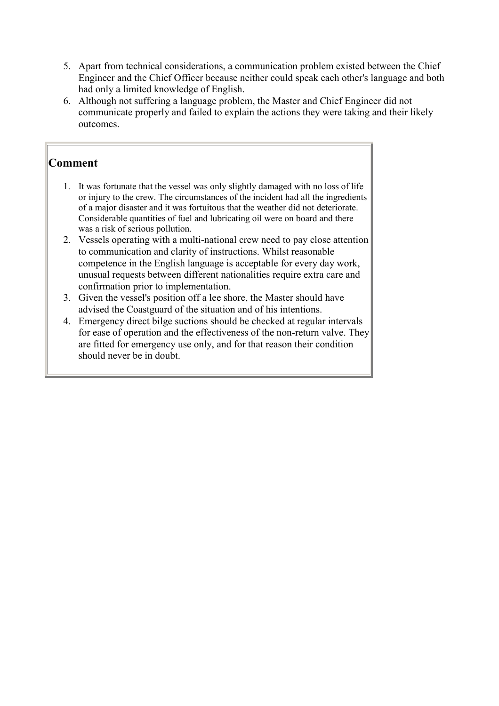- <span id="page-4-0"></span>5. Apart from technical considerations, a communication problem existed between the Chief Engineer and the Chief Officer because neither could speak each other's language and both had only a limited knowledge of English.
- 6. Although not suffering a language problem, the Master and Chief Engineer did not communicate properly and failed to explain the actions they were taking and their likely outcomes.

- 1. It was fortunate that the vessel was only slightly damaged with no loss of life or injury to the crew. The circumstances of the incident had all the ingredients of a major disaster and it was fortuitous that the weather did not deteriorate. Considerable quantities of fuel and lubricating oil were on board and there was a risk of serious pollution.
- 2. Vessels operating with a multi-national crew need to pay close attention to communication and clarity of instructions. Whilst reasonable competence in the English language is acceptable for every day work, unusual requests between different nationalities require extra care and confirmation prior to implementation.
- 3. Given the vessel's position off a lee shore, the Master should have advised the Coastguard of the situation and of his intentions.
- 4. Emergency direct bilge suctions should be checked at regular intervals for ease of operation and the effectiveness of the non-return valve. They are fitted for emergency use only, and for that reason their condition should never be in doubt.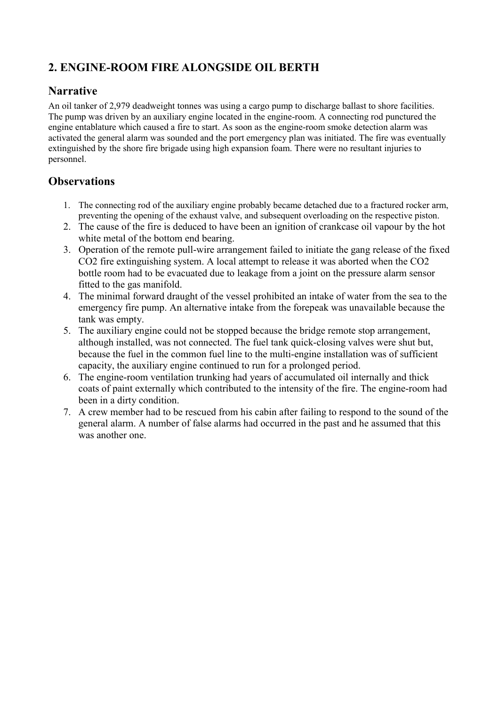## <span id="page-5-0"></span>**2. ENGINE-ROOM FIRE ALONGSIDE OIL BERTH**

### **Narrative**

An oil tanker of 2,979 deadweight tonnes was using a cargo pump to discharge ballast to shore facilities. The pump was driven by an auxiliary engine located in the engine-room. A connecting rod punctured the engine entablature which caused a fire to start. As soon as the engine-room smoke detection alarm was activated the general alarm was sounded and the port emergency plan was initiated. The fire was eventually extinguished by the shore fire brigade using high expansion foam. There were no resultant injuries to personnel.

- 1. The connecting rod of the auxiliary engine probably became detached due to a fractured rocker arm, preventing the opening of the exhaust valve, and subsequent overloading on the respective piston.
- 2. The cause of the fire is deduced to have been an ignition of crankcase oil vapour by the hot white metal of the bottom end bearing.
- 3. Operation of the remote pull-wire arrangement failed to initiate the gang release of the fixed CO2 fire extinguishing system. A local attempt to release it was aborted when the CO2 bottle room had to be evacuated due to leakage from a joint on the pressure alarm sensor fitted to the gas manifold.
- 4. The minimal forward draught of the vessel prohibited an intake of water from the sea to the emergency fire pump. An alternative intake from the forepeak was unavailable because the tank was empty.
- 5. The auxiliary engine could not be stopped because the bridge remote stop arrangement, although installed, was not connected. The fuel tank quick-closing valves were shut but, because the fuel in the common fuel line to the multi-engine installation was of sufficient capacity, the auxiliary engine continued to run for a prolonged period.
- 6. The engine-room ventilation trunking had years of accumulated oil internally and thick coats of paint externally which contributed to the intensity of the fire. The engine-room had been in a dirty condition.
- 7. A crew member had to be rescued from his cabin after failing to respond to the sound of the general alarm. A number of false alarms had occurred in the past and he assumed that this was another one.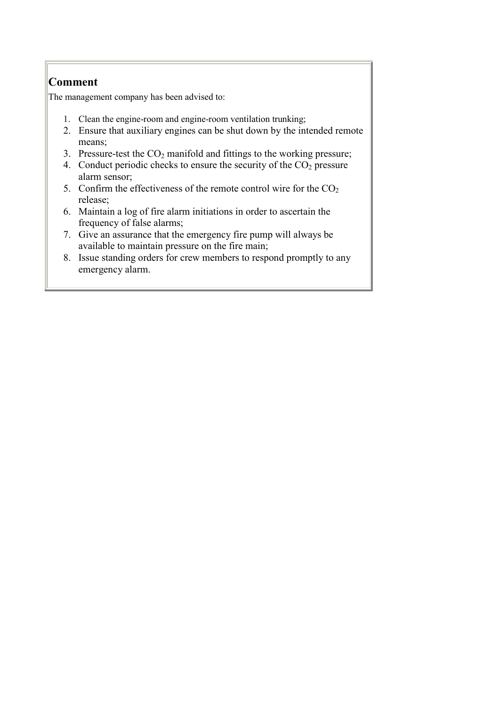<span id="page-6-0"></span>The management company has been advised to:

- 1. Clean the engine-room and engine-room ventilation trunking;
- 2. Ensure that auxiliary engines can be shut down by the intended remote means;
- 3. Pressure-test the  $CO<sub>2</sub>$  manifold and fittings to the working pressure;
- 4. Conduct periodic checks to ensure the security of the  $CO<sub>2</sub>$  pressure alarm sensor;
- 5. Confirm the effectiveness of the remote control wire for the  $CO<sub>2</sub>$ release;
- 6. Maintain a log of fire alarm initiations in order to ascertain the frequency of false alarms;
- 7. Give an assurance that the emergency fire pump will always be available to maintain pressure on the fire main;
- 8. Issue standing orders for crew members to respond promptly to any emergency alarm.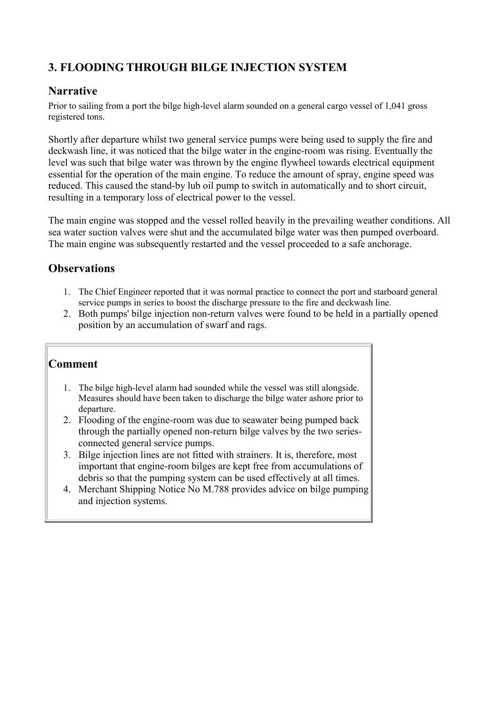## <span id="page-7-0"></span>**3. FLOODING THROUGH BILGE INJECTION SYSTEM**

#### **Narrative**

Prior to sailing from a port the bilge high-level alarm sounded on a general cargo vessel of 1,041 gross registered tons.

Shortly after departure whilst two general service pumps were being used to supply the fire and deckwash line, it was noticed that the bilge water in the engine-room was rising. Eventually the level was such that bilge water was thrown by the engine flywheel towards electrical equipment essential for the operation of the main engine. To reduce the amount of spray, engine speed was reduced. This caused the stand-by lub oil pump to switch in automatically and to short circuit, resulting in a temporary loss of electrical power to the vessel.

The main engine was stopped and the vessel rolled heavily in the prevailing weather conditions. All sea water suction valves were shut and the accumulated bilge water was then pumped overboard. The main engine was subsequently restarted and the vessel proceeded to a safe anchorage.

### **Observations**

- 1. The Chief Engineer reported that it was normal practice to connect the port and starboard general service pumps in series to boost the discharge pressure to the fire and deckwash line.
- 2. Both pumps' bilge injection non-return valves were found to be held in a partially opened position by an accumulation of swarf and rags.

- 1. The bilge high-level alarm had sounded while the vessel was still alongside. Measures should have been taken to discharge the bilge water ashore prior to departure.
- 2. Flooding of the engine-room was due to seawater being pumped back through the partially opened non-return bilge valves by the two seriesconnected general service pumps.
- 3. Bilge injection lines are not fitted with strainers. It is, therefore, most important that engine-room bilges are kept free from accumulations of debris so that the pumping system can be used effectively at all times.
- 4. Merchant Shipping Notice No M.788 provides advice on bilge pumping and injection systems.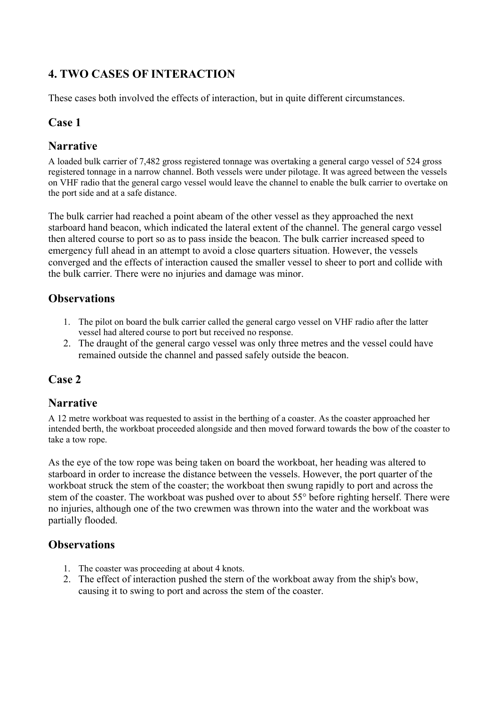## <span id="page-8-0"></span>**4. TWO CASES OF INTERACTION**

These cases both involved the effects of interaction, but in quite different circumstances.

#### **Case 1**

#### **Narrative**

A loaded bulk carrier of 7,482 gross registered tonnage was overtaking a general cargo vessel of 524 gross registered tonnage in a narrow channel. Both vessels were under pilotage. It was agreed between the vessels on VHF radio that the general cargo vessel would leave the channel to enable the bulk carrier to overtake on the port side and at a safe distance.

The bulk carrier had reached a point abeam of the other vessel as they approached the next starboard hand beacon, which indicated the lateral extent of the channel. The general cargo vessel then altered course to port so as to pass inside the beacon. The bulk carrier increased speed to emergency full ahead in an attempt to avoid a close quarters situation. However, the vessels converged and the effects of interaction caused the smaller vessel to sheer to port and collide with the bulk carrier. There were no injuries and damage was minor.

#### **Observations**

- 1. The pilot on board the bulk carrier called the general cargo vessel on VHF radio after the latter vessel had altered course to port but received no response.
- 2. The draught of the general cargo vessel was only three metres and the vessel could have remained outside the channel and passed safely outside the beacon.

### **Case 2**

#### **Narrative**

A 12 metre workboat was requested to assist in the berthing of a coaster. As the coaster approached her intended berth, the workboat proceeded alongside and then moved forward towards the bow of the coaster to take a tow rope.

As the eye of the tow rope was being taken on board the workboat, her heading was altered to starboard in order to increase the distance between the vessels. However, the port quarter of the workboat struck the stem of the coaster; the workboat then swung rapidly to port and across the stem of the coaster. The workboat was pushed over to about 55° before righting herself. There were no injuries, although one of the two crewmen was thrown into the water and the workboat was partially flooded.

- 1. The coaster was proceeding at about 4 knots.
- 2. The effect of interaction pushed the stern of the workboat away from the ship's bow, causing it to swing to port and across the stem of the coaster.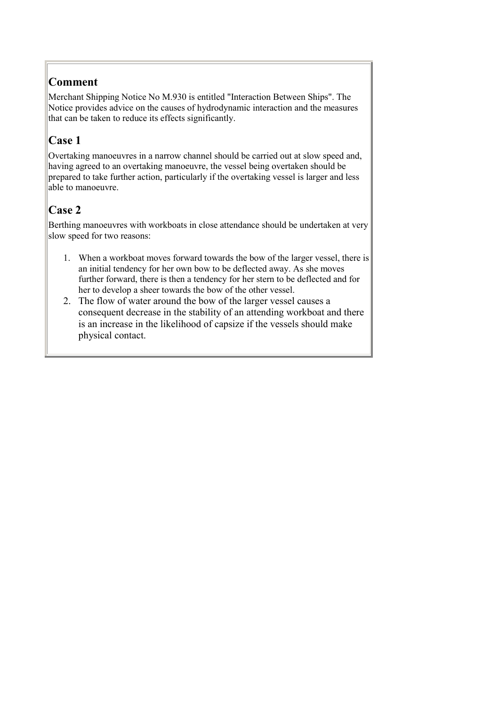<span id="page-9-0"></span>Merchant Shipping Notice No M.930 is entitled "Interaction Between Ships". The Notice provides advice on the causes of hydrodynamic interaction and the measures that can be taken to reduce its effects significantly.

## **Case 1**

Overtaking manoeuvres in a narrow channel should be carried out at slow speed and, having agreed to an overtaking manoeuvre, the vessel being overtaken should be prepared to take further action, particularly if the overtaking vessel is larger and less able to manoeuvre.

## **Case 2**

Berthing manoeuvres with workboats in close attendance should be undertaken at very slow speed for two reasons:

- 1. When a workboat moves forward towards the bow of the larger vessel, there is an initial tendency for her own bow to be deflected away. As she moves further forward, there is then a tendency for her stern to be deflected and for her to develop a sheer towards the bow of the other vessel.
- 2. The flow of water around the bow of the larger vessel causes a consequent decrease in the stability of an attending workboat and there is an increase in the likelihood of capsize if the vessels should make physical contact.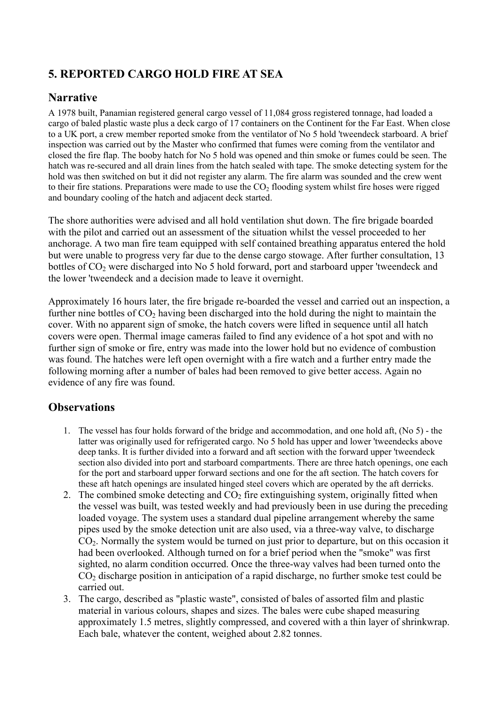## <span id="page-10-0"></span>**5. REPORTED CARGO HOLD FIRE AT SEA**

## **Narrative**

A 1978 built, Panamian registered general cargo vessel of 11,084 gross registered tonnage, had loaded a cargo of baled plastic waste plus a deck cargo of 17 containers on the Continent for the Far East. When close to a UK port, a crew member reported smoke from the ventilator of No 5 hold 'tweendeck starboard. A brief inspection was carried out by the Master who confirmed that fumes were coming from the ventilator and closed the fire flap. The booby hatch for No 5 hold was opened and thin smoke or fumes could be seen. The hatch was re-secured and all drain lines from the hatch sealed with tape. The smoke detecting system for the hold was then switched on but it did not register any alarm. The fire alarm was sounded and the crew went to their fire stations. Preparations were made to use the  $CO<sub>2</sub>$  flooding system whilst fire hoses were rigged and boundary cooling of the hatch and adjacent deck started.

The shore authorities were advised and all hold ventilation shut down. The fire brigade boarded with the pilot and carried out an assessment of the situation whilst the vessel proceeded to her anchorage. A two man fire team equipped with self contained breathing apparatus entered the hold but were unable to progress very far due to the dense cargo stowage. After further consultation, 13 bottles of  $CO<sub>2</sub>$  were discharged into No 5 hold forward, port and starboard upper 'tweendeck and the lower 'tweendeck and a decision made to leave it overnight.

Approximately 16 hours later, the fire brigade re-boarded the vessel and carried out an inspection, a further nine bottles of  $CO<sub>2</sub>$  having been discharged into the hold during the night to maintain the cover. With no apparent sign of smoke, the hatch covers were lifted in sequence until all hatch covers were open. Thermal image cameras failed to find any evidence of a hot spot and with no further sign of smoke or fire, entry was made into the lower hold but no evidence of combustion was found. The hatches were left open overnight with a fire watch and a further entry made the following morning after a number of bales had been removed to give better access. Again no evidence of any fire was found.

- 1. The vessel has four holds forward of the bridge and accommodation, and one hold aft, (No 5) the latter was originally used for refrigerated cargo. No 5 hold has upper and lower 'tweendecks above deep tanks. It is further divided into a forward and aft section with the forward upper 'tweendeck section also divided into port and starboard compartments. There are three hatch openings, one each for the port and starboard upper forward sections and one for the aft section. The hatch covers for these aft hatch openings are insulated hinged steel covers which are operated by the aft derricks.
- 2. The combined smoke detecting and  $CO<sub>2</sub>$  fire extinguishing system, originally fitted when the vessel was built, was tested weekly and had previously been in use during the preceding loaded voyage. The system uses a standard dual pipeline arrangement whereby the same pipes used by the smoke detection unit are also used, via a three-way valve, to discharge CO<sub>2</sub>. Normally the system would be turned on just prior to departure, but on this occasion it had been overlooked. Although turned on for a brief period when the "smoke" was first sighted, no alarm condition occurred. Once the three-way valves had been turned onto the  $CO<sub>2</sub>$  discharge position in anticipation of a rapid discharge, no further smoke test could be carried out.
- 3. The cargo, described as "plastic waste", consisted of bales of assorted film and plastic material in various colours, shapes and sizes. The bales were cube shaped measuring approximately 1.5 metres, slightly compressed, and covered with a thin layer of shrinkwrap. Each bale, whatever the content, weighed about 2.82 tonnes.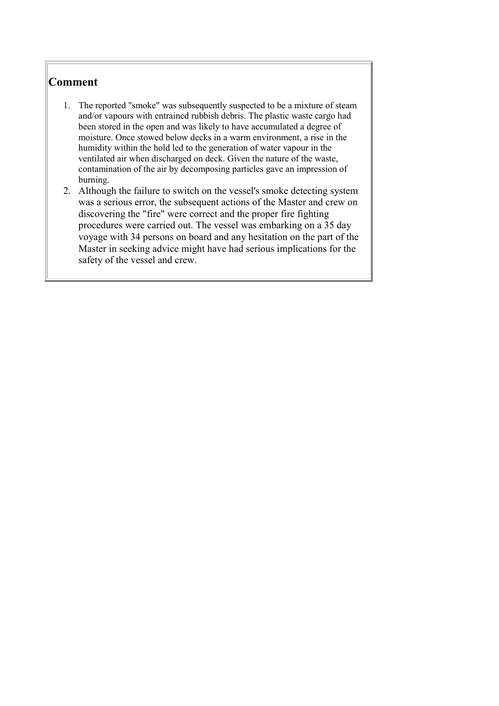- <span id="page-11-0"></span>1. The reported "smoke" was subsequently suspected to be a mixture of steam and/or vapours with entrained rubbish debris. The plastic waste cargo had been stored in the open and was likely to have accumulated a degree of moisture. Once stowed below decks in a warm environment, a rise in the humidity within the hold led to the generation of water vapour in the ventilated air when discharged on deck. Given the nature of the waste, contamination of the air by decomposing particles gave an impression of burning.
- 2. Although the failure to switch on the vessel's smoke detecting system was a serious error, the subsequent actions of the Master and crew on discovering the "fire" were correct and the proper fire fighting procedures were carried out. The vessel was embarking on a 35 day voyage with 34 persons on board and any hesitation on the part of the Master in seeking advice might have had serious implications for the safety of the vessel and crew.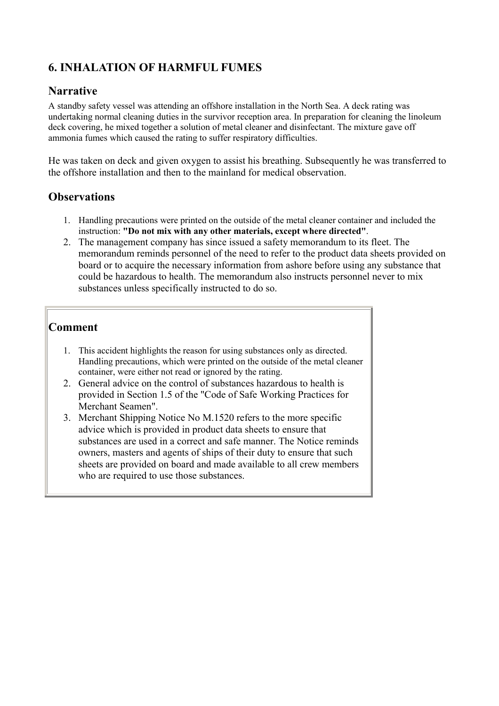## <span id="page-12-0"></span>**6. INHALATION OF HARMFUL FUMES**

#### **Narrative**

A standby safety vessel was attending an offshore installation in the North Sea. A deck rating was undertaking normal cleaning duties in the survivor reception area. In preparation for cleaning the linoleum deck covering, he mixed together a solution of metal cleaner and disinfectant. The mixture gave off ammonia fumes which caused the rating to suffer respiratory difficulties.

He was taken on deck and given oxygen to assist his breathing. Subsequently he was transferred to the offshore installation and then to the mainland for medical observation.

### **Observations**

- 1. Handling precautions were printed on the outside of the metal cleaner container and included the instruction: **"Do not mix with any other materials, except where directed"**.
- 2. The management company has since issued a safety memorandum to its fleet. The memorandum reminds personnel of the need to refer to the product data sheets provided on board or to acquire the necessary information from ashore before using any substance that could be hazardous to health. The memorandum also instructs personnel never to mix substances unless specifically instructed to do so.

- 1. This accident highlights the reason for using substances only as directed. Handling precautions, which were printed on the outside of the metal cleaner container, were either not read or ignored by the rating.
- 2. General advice on the control of substances hazardous to health is provided in Section 1.5 of the "Code of Safe Working Practices for Merchant Seamen".
- 3. Merchant Shipping Notice No M.1520 refers to the more specific advice which is provided in product data sheets to ensure that substances are used in a correct and safe manner. The Notice reminds owners, masters and agents of ships of their duty to ensure that such sheets are provided on board and made available to all crew members who are required to use those substances.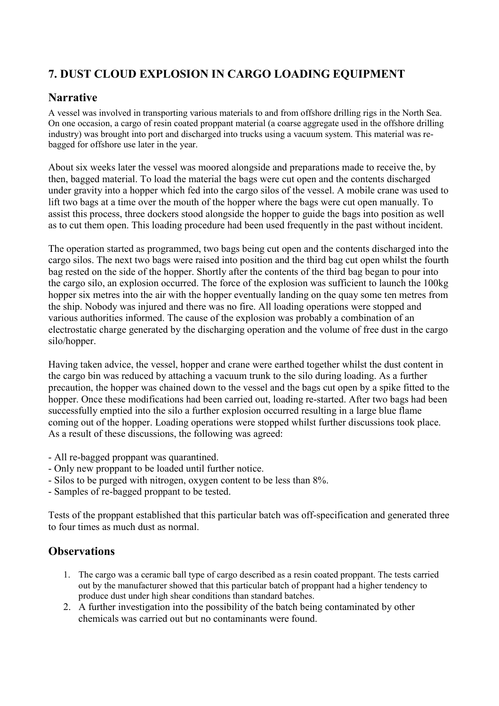## <span id="page-13-0"></span>**7. DUST CLOUD EXPLOSION IN CARGO LOADING EQUIPMENT**

### **Narrative**

A vessel was involved in transporting various materials to and from offshore drilling rigs in the North Sea. On one occasion, a cargo of resin coated proppant material (a coarse aggregate used in the offshore drilling industry) was brought into port and discharged into trucks using a vacuum system. This material was rebagged for offshore use later in the year.

About six weeks later the vessel was moored alongside and preparations made to receive the, by then, bagged material. To load the material the bags were cut open and the contents discharged under gravity into a hopper which fed into the cargo silos of the vessel. A mobile crane was used to lift two bags at a time over the mouth of the hopper where the bags were cut open manually. To assist this process, three dockers stood alongside the hopper to guide the bags into position as well as to cut them open. This loading procedure had been used frequently in the past without incident.

The operation started as programmed, two bags being cut open and the contents discharged into the cargo silos. The next two bags were raised into position and the third bag cut open whilst the fourth bag rested on the side of the hopper. Shortly after the contents of the third bag began to pour into the cargo silo, an explosion occurred. The force of the explosion was sufficient to launch the 100kg hopper six metres into the air with the hopper eventually landing on the quay some ten metres from the ship. Nobody was injured and there was no fire. All loading operations were stopped and various authorities informed. The cause of the explosion was probably a combination of an electrostatic charge generated by the discharging operation and the volume of free dust in the cargo silo/hopper.

Having taken advice, the vessel, hopper and crane were earthed together whilst the dust content in the cargo bin was reduced by attaching a vacuum trunk to the silo during loading. As a further precaution, the hopper was chained down to the vessel and the bags cut open by a spike fitted to the hopper. Once these modifications had been carried out, loading re-started. After two bags had been successfully emptied into the silo a further explosion occurred resulting in a large blue flame coming out of the hopper. Loading operations were stopped whilst further discussions took place. As a result of these discussions, the following was agreed:

- All re-bagged proppant was quarantined.
- Only new proppant to be loaded until further notice.
- Silos to be purged with nitrogen, oxygen content to be less than 8%.
- Samples of re-bagged proppant to be tested.

Tests of the proppant established that this particular batch was off-specification and generated three to four times as much dust as normal.

- 1. The cargo was a ceramic ball type of cargo described as a resin coated proppant. The tests carried out by the manufacturer showed that this particular batch of proppant had a higher tendency to produce dust under high shear conditions than standard batches.
- 2. A further investigation into the possibility of the batch being contaminated by other chemicals was carried out but no contaminants were found.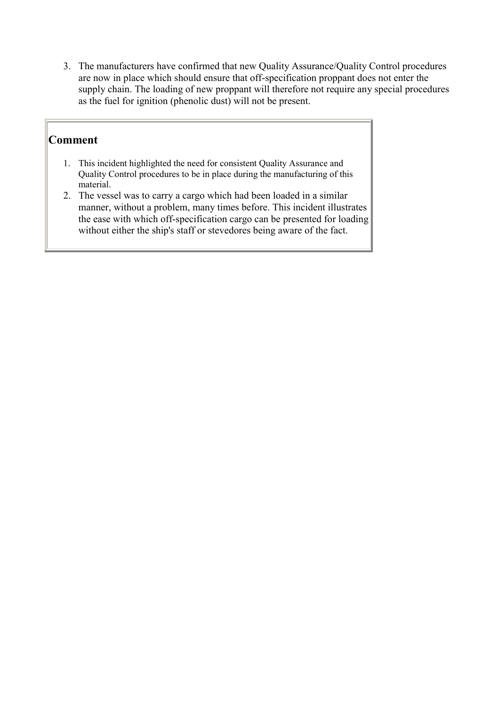<span id="page-14-0"></span>3. The manufacturers have confirmed that new Quality Assurance/Quality Control procedures are now in place which should ensure that off-specification proppant does not enter the supply chain. The loading of new proppant will therefore not require any special procedures as the fuel for ignition (phenolic dust) will not be present.

- 1. This incident highlighted the need for consistent Quality Assurance and Quality Control procedures to be in place during the manufacturing of this material.
- 2. The vessel was to carry a cargo which had been loaded in a similar manner, without a problem, many times before. This incident illustrates the ease with which off-specification cargo can be presented for loading without either the ship's staff or stevedores being aware of the fact.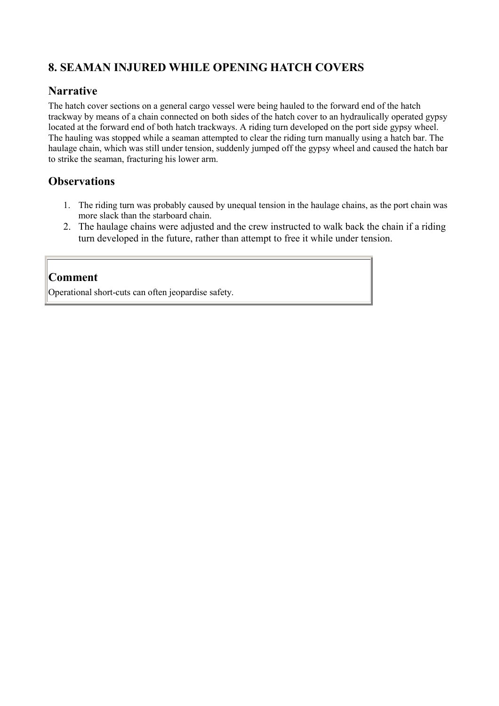## <span id="page-15-0"></span>**8. SEAMAN INJURED WHILE OPENING HATCH COVERS**

#### **Narrative**

The hatch cover sections on a general cargo vessel were being hauled to the forward end of the hatch trackway by means of a chain connected on both sides of the hatch cover to an hydraulically operated gypsy located at the forward end of both hatch trackways. A riding turn developed on the port side gypsy wheel. The hauling was stopped while a seaman attempted to clear the riding turn manually using a hatch bar. The haulage chain, which was still under tension, suddenly jumped off the gypsy wheel and caused the hatch bar to strike the seaman, fracturing his lower arm.

#### **Observations**

- 1. The riding turn was probably caused by unequal tension in the haulage chains, as the port chain was more slack than the starboard chain.
- 2. The haulage chains were adjusted and the crew instructed to walk back the chain if a riding turn developed in the future, rather than attempt to free it while under tension.

#### **Comment**

Operational short-cuts can often jeopardise safety.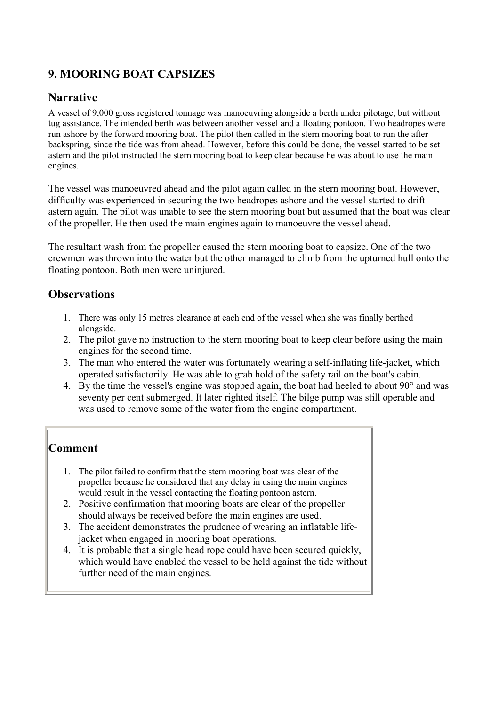## <span id="page-16-0"></span>**9. MOORING BOAT CAPSIZES**

## **Narrative**

A vessel of 9,000 gross registered tonnage was manoeuvring alongside a berth under pilotage, but without tug assistance. The intended berth was between another vessel and a floating pontoon. Two headropes were run ashore by the forward mooring boat. The pilot then called in the stern mooring boat to run the after backspring, since the tide was from ahead. However, before this could be done, the vessel started to be set astern and the pilot instructed the stern mooring boat to keep clear because he was about to use the main engines.

The vessel was manoeuvred ahead and the pilot again called in the stern mooring boat. However, difficulty was experienced in securing the two headropes ashore and the vessel started to drift astern again. The pilot was unable to see the stern mooring boat but assumed that the boat was clear of the propeller. He then used the main engines again to manoeuvre the vessel ahead.

The resultant wash from the propeller caused the stern mooring boat to capsize. One of the two crewmen was thrown into the water but the other managed to climb from the upturned hull onto the floating pontoon. Both men were uninjured.

### **Observations**

- 1. There was only 15 metres clearance at each end of the vessel when she was finally berthed alongside.
- 2. The pilot gave no instruction to the stern mooring boat to keep clear before using the main engines for the second time.
- 3. The man who entered the water was fortunately wearing a self-inflating life-jacket, which operated satisfactorily. He was able to grab hold of the safety rail on the boat's cabin.
- 4. By the time the vessel's engine was stopped again, the boat had heeled to about 90° and was seventy per cent submerged. It later righted itself. The bilge pump was still operable and was used to remove some of the water from the engine compartment.

- 1. The pilot failed to confirm that the stern mooring boat was clear of the propeller because he considered that any delay in using the main engines would result in the vessel contacting the floating pontoon astern.
- 2. Positive confirmation that mooring boats are clear of the propeller should always be received before the main engines are used.
- 3. The accident demonstrates the prudence of wearing an inflatable lifejacket when engaged in mooring boat operations.
- 4. It is probable that a single head rope could have been secured quickly, which would have enabled the vessel to be held against the tide without further need of the main engines.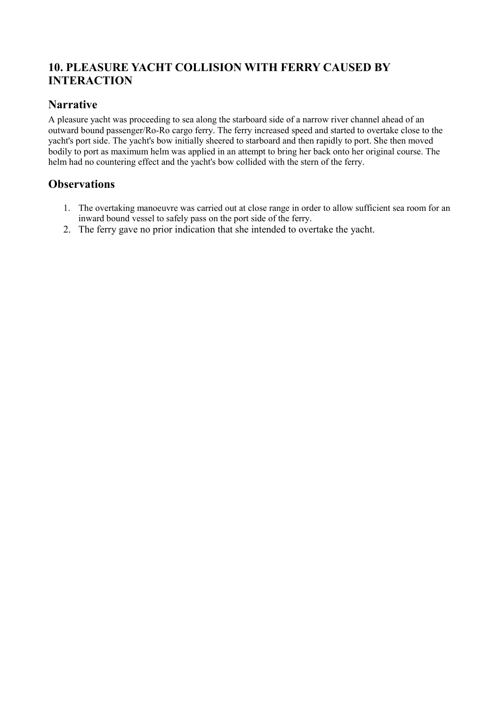## <span id="page-17-0"></span>**10. PLEASURE YACHT COLLISION WITH FERRY CAUSED BY INTERACTION**

#### **Narrative**

A pleasure yacht was proceeding to sea along the starboard side of a narrow river channel ahead of an outward bound passenger/Ro-Ro cargo ferry. The ferry increased speed and started to overtake close to the yacht's port side. The yacht's bow initially sheered to starboard and then rapidly to port. She then moved bodily to port as maximum helm was applied in an attempt to bring her back onto her original course. The helm had no countering effect and the yacht's bow collided with the stern of the ferry.

- 1. The overtaking manoeuvre was carried out at close range in order to allow sufficient sea room for an inward bound vessel to safely pass on the port side of the ferry.
- 2. The ferry gave no prior indication that she intended to overtake the yacht.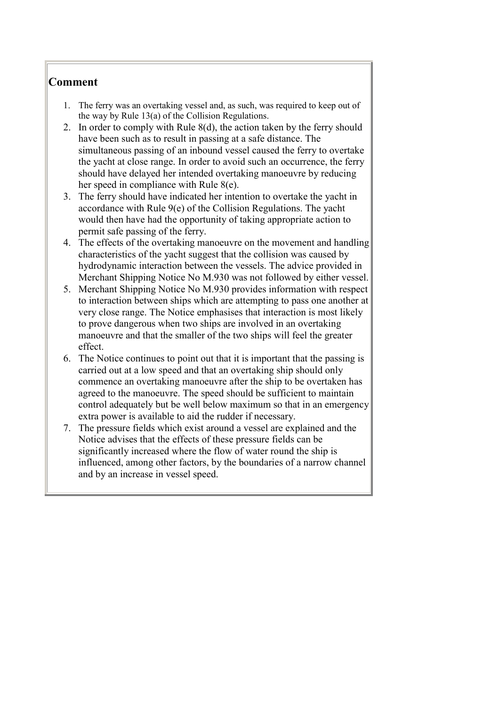- <span id="page-18-0"></span>1. The ferry was an overtaking vessel and, as such, was required to keep out of the way by Rule 13(a) of the Collision Regulations.
- 2. In order to comply with Rule 8(d), the action taken by the ferry should have been such as to result in passing at a safe distance. The simultaneous passing of an inbound vessel caused the ferry to overtake the yacht at close range. In order to avoid such an occurrence, the ferry should have delayed her intended overtaking manoeuvre by reducing her speed in compliance with Rule 8(e).
- 3. The ferry should have indicated her intention to overtake the yacht in accordance with Rule 9(e) of the Collision Regulations. The yacht would then have had the opportunity of taking appropriate action to permit safe passing of the ferry.
- 4. The effects of the overtaking manoeuvre on the movement and handling characteristics of the yacht suggest that the collision was caused by hydrodynamic interaction between the vessels. The advice provided in Merchant Shipping Notice No M.930 was not followed by either vessel.
- 5. Merchant Shipping Notice No M.930 provides information with respect to interaction between ships which are attempting to pass one another at very close range. The Notice emphasises that interaction is most likely to prove dangerous when two ships are involved in an overtaking manoeuvre and that the smaller of the two ships will feel the greater effect.
- 6. The Notice continues to point out that it is important that the passing is carried out at a low speed and that an overtaking ship should only commence an overtaking manoeuvre after the ship to be overtaken has agreed to the manoeuvre. The speed should be sufficient to maintain control adequately but be well below maximum so that in an emergency extra power is available to aid the rudder if necessary.
- 7. The pressure fields which exist around a vessel are explained and the Notice advises that the effects of these pressure fields can be significantly increased where the flow of water round the ship is influenced, among other factors, by the boundaries of a narrow channel and by an increase in vessel speed.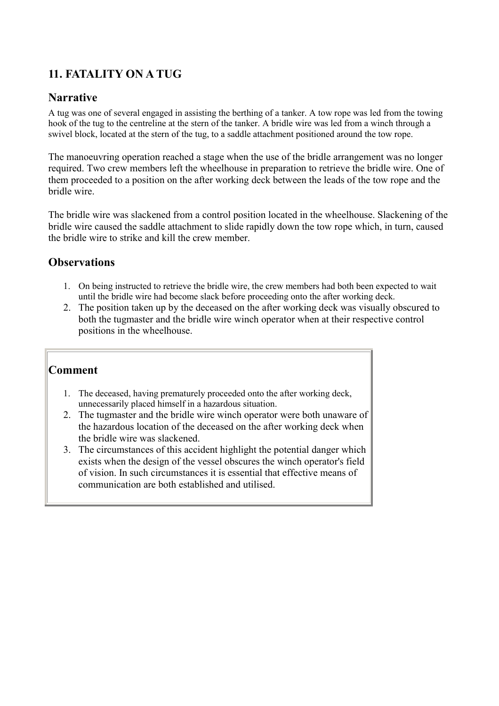## <span id="page-19-0"></span>**11. FATALITY ON A TUG**

### **Narrative**

A tug was one of several engaged in assisting the berthing of a tanker. A tow rope was led from the towing hook of the tug to the centreline at the stern of the tanker. A bridle wire was led from a winch through a swivel block, located at the stern of the tug, to a saddle attachment positioned around the tow rope.

The manoeuvring operation reached a stage when the use of the bridle arrangement was no longer required. Two crew members left the wheelhouse in preparation to retrieve the bridle wire. One of them proceeded to a position on the after working deck between the leads of the tow rope and the bridle wire.

The bridle wire was slackened from a control position located in the wheelhouse. Slackening of the bridle wire caused the saddle attachment to slide rapidly down the tow rope which, in turn, caused the bridle wire to strike and kill the crew member.

### **Observations**

- 1. On being instructed to retrieve the bridle wire, the crew members had both been expected to wait until the bridle wire had become slack before proceeding onto the after working deck.
- 2. The position taken up by the deceased on the after working deck was visually obscured to both the tugmaster and the bridle wire winch operator when at their respective control positions in the wheelhouse.

- 1. The deceased, having prematurely proceeded onto the after working deck, unnecessarily placed himself in a hazardous situation.
- 2. The tugmaster and the bridle wire winch operator were both unaware of the hazardous location of the deceased on the after working deck when the bridle wire was slackened.
- 3. The circumstances of this accident highlight the potential danger which exists when the design of the vessel obscures the winch operator's field of vision. In such circumstances it is essential that effective means of communication are both established and utilised.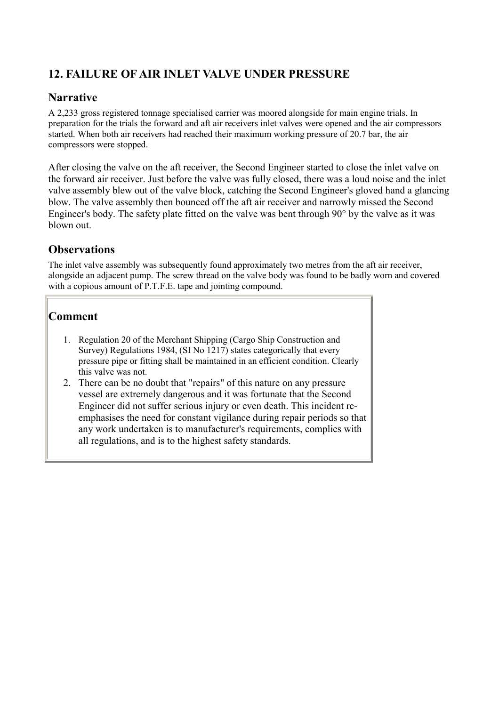## <span id="page-20-0"></span>**12. FAILURE OF AIR INLET VALVE UNDER PRESSURE**

## **Narrative**

A 2,233 gross registered tonnage specialised carrier was moored alongside for main engine trials. In preparation for the trials the forward and aft air receivers inlet valves were opened and the air compressors started. When both air receivers had reached their maximum working pressure of 20.7 bar, the air compressors were stopped.

After closing the valve on the aft receiver, the Second Engineer started to close the inlet valve on the forward air receiver. Just before the valve was fully closed, there was a loud noise and the inlet valve assembly blew out of the valve block, catching the Second Engineer's gloved hand a glancing blow. The valve assembly then bounced off the aft air receiver and narrowly missed the Second Engineer's body. The safety plate fitted on the valve was bent through 90° by the valve as it was blown out.

## **Observations**

The inlet valve assembly was subsequently found approximately two metres from the aft air receiver, alongside an adjacent pump. The screw thread on the valve body was found to be badly worn and covered with a copious amount of P.T.F.E. tape and jointing compound.

- 1. Regulation 20 of the Merchant Shipping (Cargo Ship Construction and Survey) Regulations 1984, (SI No 1217) states categorically that every pressure pipe or fitting shall be maintained in an efficient condition. Clearly this valve was not.
- 2. There can be no doubt that "repairs" of this nature on any pressure vessel are extremely dangerous and it was fortunate that the Second Engineer did not suffer serious injury or even death. This incident reemphasises the need for constant vigilance during repair periods so that any work undertaken is to manufacturer's requirements, complies with all regulations, and is to the highest safety standards.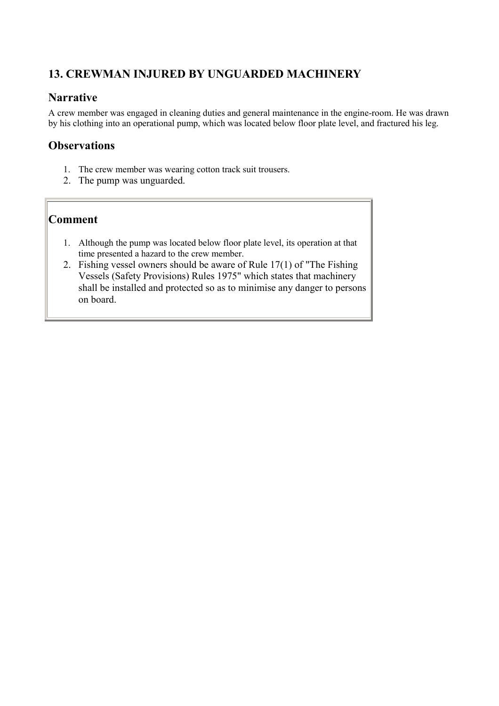## <span id="page-21-0"></span>**13. CREWMAN INJURED BY UNGUARDED MACHINERY**

### **Narrative**

A crew member was engaged in cleaning duties and general maintenance in the engine-room. He was drawn by his clothing into an operational pump, which was located below floor plate level, and fractured his leg.

### **Observations**

- 1. The crew member was wearing cotton track suit trousers.
- 2. The pump was unguarded.

- 1. Although the pump was located below floor plate level, its operation at that time presented a hazard to the crew member.
- 2. Fishing vessel owners should be aware of Rule 17(1) of "The Fishing Vessels (Safety Provisions) Rules 1975" which states that machinery shall be installed and protected so as to minimise any danger to persons on board.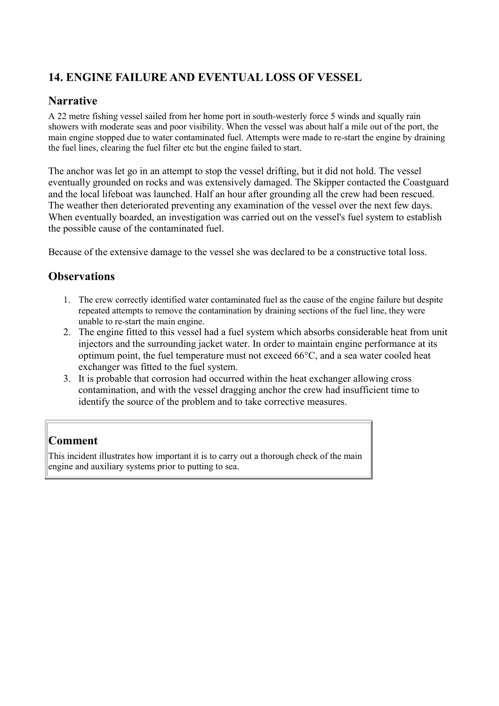## <span id="page-22-0"></span>**14. ENGINE FAILURE AND EVENTUAL LOSS OF VESSEL**

## **Narrative**

A 22 metre fishing vessel sailed from her home port in south-westerly force 5 winds and squally rain showers with moderate seas and poor visibility. When the vessel was about half a mile out of the port, the main engine stopped due to water contaminated fuel. Attempts were made to re-start the engine by draining the fuel lines, clearing the fuel filter etc but the engine failed to start.

The anchor was let go in an attempt to stop the vessel drifting, but it did not hold. The vessel eventually grounded on rocks and was extensively damaged. The Skipper contacted the Coastguard and the local lifeboat was launched. Half an hour after grounding all the crew had been rescued. The weather then deteriorated preventing any examination of the vessel over the next few days. When eventually boarded, an investigation was carried out on the vessel's fuel system to establish the possible cause of the contaminated fuel.

Because of the extensive damage to the vessel she was declared to be a constructive total loss.

### **Observations**

- 1. The crew correctly identified water contaminated fuel as the cause of the engine failure but despite repeated attempts to remove the contamination by draining sections of the fuel line, they were unable to re-start the main engine.
- 2. The engine fitted to this vessel had a fuel system which absorbs considerable heat from unit injectors and the surrounding jacket water. In order to maintain engine performance at its optimum point, the fuel temperature must not exceed 66°C, and a sea water cooled heat exchanger was fitted to the fuel system.
- 3. It is probable that corrosion had occurred within the heat exchanger allowing cross contamination, and with the vessel dragging anchor the crew had insufficient time to identify the source of the problem and to take corrective measures.

## **Comment**

This incident illustrates how important it is to carry out a thorough check of the main engine and auxiliary systems prior to putting to sea.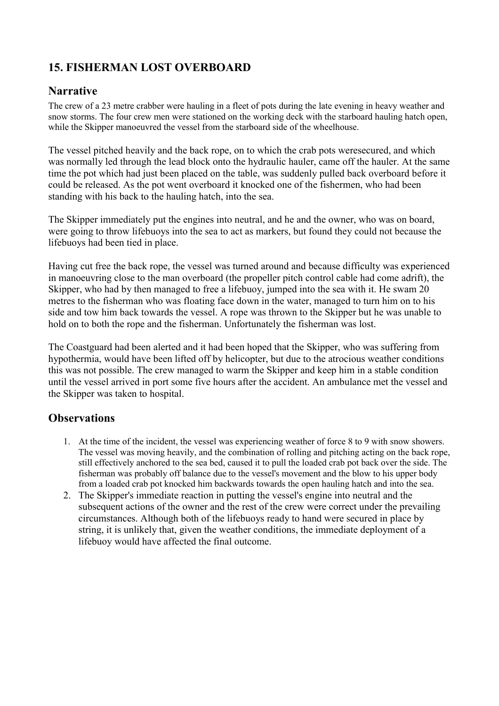## <span id="page-23-0"></span>**15. FISHERMAN LOST OVERBOARD**

#### **Narrative**

The crew of a 23 metre crabber were hauling in a fleet of pots during the late evening in heavy weather and snow storms. The four crew men were stationed on the working deck with the starboard hauling hatch open, while the Skipper manoeuvred the vessel from the starboard side of the wheelhouse.

The vessel pitched heavily and the back rope, on to which the crab pots weresecured, and which was normally led through the lead block onto the hydraulic hauler, came off the hauler. At the same time the pot which had just been placed on the table, was suddenly pulled back overboard before it could be released. As the pot went overboard it knocked one of the fishermen, who had been standing with his back to the hauling hatch, into the sea.

The Skipper immediately put the engines into neutral, and he and the owner, who was on board, were going to throw lifebuoys into the sea to act as markers, but found they could not because the lifebuoys had been tied in place.

Having cut free the back rope, the vessel was turned around and because difficulty was experienced in manoeuvring close to the man overboard (the propeller pitch control cable had come adrift), the Skipper, who had by then managed to free a lifebuoy, jumped into the sea with it. He swam 20 metres to the fisherman who was floating face down in the water, managed to turn him on to his side and tow him back towards the vessel. A rope was thrown to the Skipper but he was unable to hold on to both the rope and the fisherman. Unfortunately the fisherman was lost.

The Coastguard had been alerted and it had been hoped that the Skipper, who was suffering from hypothermia, would have been lifted off by helicopter, but due to the atrocious weather conditions this was not possible. The crew managed to warm the Skipper and keep him in a stable condition until the vessel arrived in port some five hours after the accident. An ambulance met the vessel and the Skipper was taken to hospital.

- 1. At the time of the incident, the vessel was experiencing weather of force 8 to 9 with snow showers. The vessel was moving heavily, and the combination of rolling and pitching acting on the back rope, still effectively anchored to the sea bed, caused it to pull the loaded crab pot back over the side. The fisherman was probably off balance due to the vessel's movement and the blow to his upper body from a loaded crab pot knocked him backwards towards the open hauling hatch and into the sea.
- 2. The Skipper's immediate reaction in putting the vessel's engine into neutral and the subsequent actions of the owner and the rest of the crew were correct under the prevailing circumstances. Although both of the lifebuoys ready to hand were secured in place by string, it is unlikely that, given the weather conditions, the immediate deployment of a lifebuoy would have affected the final outcome.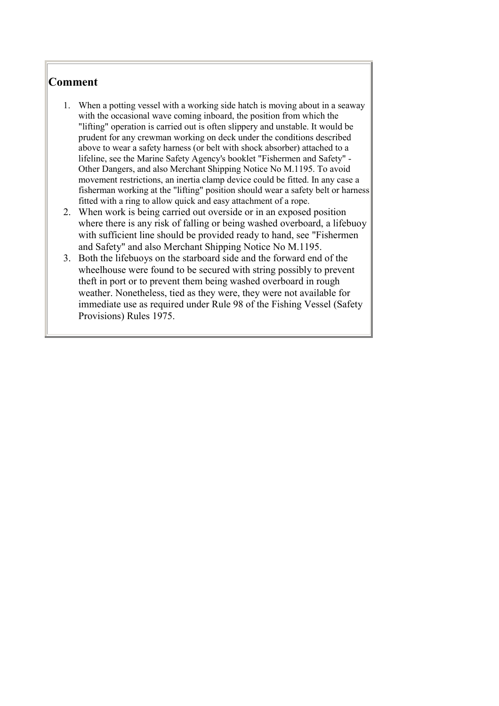- <span id="page-24-0"></span>1. When a potting vessel with a working side hatch is moving about in a seaway with the occasional wave coming inboard, the position from which the "lifting" operation is carried out is often slippery and unstable. It would be prudent for any crewman working on deck under the conditions described above to wear a safety harness (or belt with shock absorber) attached to a lifeline, see the Marine Safety Agency's booklet "Fishermen and Safety" - Other Dangers, and also Merchant Shipping Notice No M.1195. To avoid movement restrictions, an inertia clamp device could be fitted. In any case a fisherman working at the "lifting" position should wear a safety belt or harness fitted with a ring to allow quick and easy attachment of a rope.
- 2. When work is being carried out overside or in an exposed position where there is any risk of falling or being washed overboard, a lifebuoy with sufficient line should be provided ready to hand, see "Fishermen and Safety" and also Merchant Shipping Notice No M.1195.
- 3. Both the lifebuoys on the starboard side and the forward end of the wheelhouse were found to be secured with string possibly to prevent theft in port or to prevent them being washed overboard in rough weather. Nonetheless, tied as they were, they were not available for immediate use as required under Rule 98 of the Fishing Vessel (Safety Provisions) Rules 1975.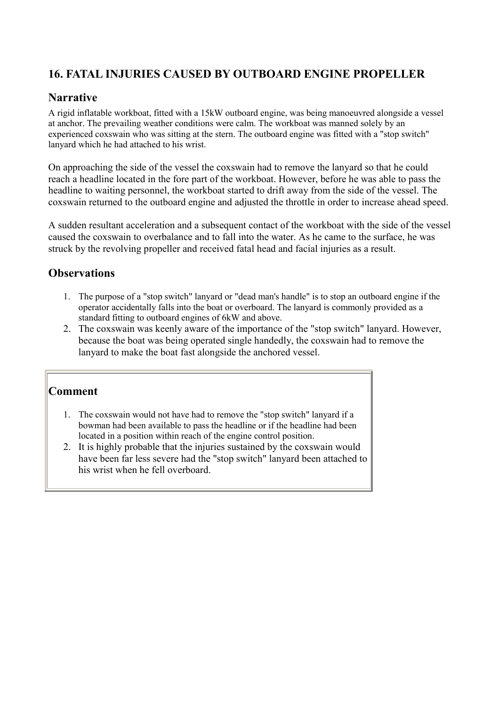## <span id="page-25-0"></span>**16. FATAL INJURIES CAUSED BY OUTBOARD ENGINE PROPELLER**

### **Narrative**

A rigid inflatable workboat, fitted with a 15kW outboard engine, was being manoeuvred alongside a vessel at anchor. The prevailing weather conditions were calm. The workboat was manned solely by an experienced coxswain who was sitting at the stern. The outboard engine was fitted with a "stop switch" lanyard which he had attached to his wrist.

On approaching the side of the vessel the coxswain had to remove the lanyard so that he could reach a headline located in the fore part of the workboat. However, before he was able to pass the headline to waiting personnel, the workboat started to drift away from the side of the vessel. The coxswain returned to the outboard engine and adjusted the throttle in order to increase ahead speed.

A sudden resultant acceleration and a subsequent contact of the workboat with the side of the vessel caused the coxswain to overbalance and to fall into the water. As he came to the surface, he was struck by the revolving propeller and received fatal head and facial injuries as a result.

### **Observations**

- 1. The purpose of a "stop switch" lanyard or "dead man's handle" is to stop an outboard engine if the operator accidentally falls into the boat or overboard. The lanyard is commonly provided as a standard fitting to outboard engines of 6kW and above.
- 2. The coxswain was keenly aware of the importance of the "stop switch" lanyard. However, because the boat was being operated single handedly, the coxswain had to remove the lanyard to make the boat fast alongside the anchored vessel.

- 1. The coxswain would not have had to remove the "stop switch" lanyard if a bowman had been available to pass the headline or if the headline had been located in a position within reach of the engine control position.
- 2. It is highly probable that the injuries sustained by the coxswain would have been far less severe had the "stop switch" lanyard been attached to his wrist when he fell overboard.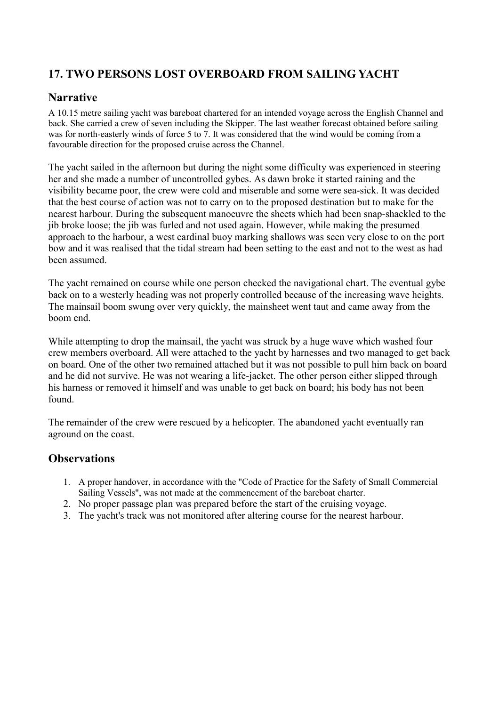## <span id="page-26-0"></span>**17. TWO PERSONS LOST OVERBOARD FROM SAILING YACHT**

### **Narrative**

A 10.15 metre sailing yacht was bareboat chartered for an intended voyage across the English Channel and back. She carried a crew of seven including the Skipper. The last weather forecast obtained before sailing was for north-easterly winds of force 5 to 7. It was considered that the wind would be coming from a favourable direction for the proposed cruise across the Channel.

The yacht sailed in the afternoon but during the night some difficulty was experienced in steering her and she made a number of uncontrolled gybes. As dawn broke it started raining and the visibility became poor, the crew were cold and miserable and some were sea-sick. It was decided that the best course of action was not to carry on to the proposed destination but to make for the nearest harbour. During the subsequent manoeuvre the sheets which had been snap-shackled to the jib broke loose; the jib was furled and not used again. However, while making the presumed approach to the harbour, a west cardinal buoy marking shallows was seen very close to on the port bow and it was realised that the tidal stream had been setting to the east and not to the west as had been assumed.

The yacht remained on course while one person checked the navigational chart. The eventual gybe back on to a westerly heading was not properly controlled because of the increasing wave heights. The mainsail boom swung over very quickly, the mainsheet went taut and came away from the boom end.

While attempting to drop the mainsail, the yacht was struck by a huge wave which washed four crew members overboard. All were attached to the yacht by harnesses and two managed to get back on board. One of the other two remained attached but it was not possible to pull him back on board and he did not survive. He was not wearing a life-jacket. The other person either slipped through his harness or removed it himself and was unable to get back on board; his body has not been found.

The remainder of the crew were rescued by a helicopter. The abandoned yacht eventually ran aground on the coast.

- 1. A proper handover, in accordance with the "Code of Practice for the Safety of Small Commercial Sailing Vessels", was not made at the commencement of the bareboat charter.
- 2. No proper passage plan was prepared before the start of the cruising voyage.
- 3. The yacht's track was not monitored after altering course for the nearest harbour.